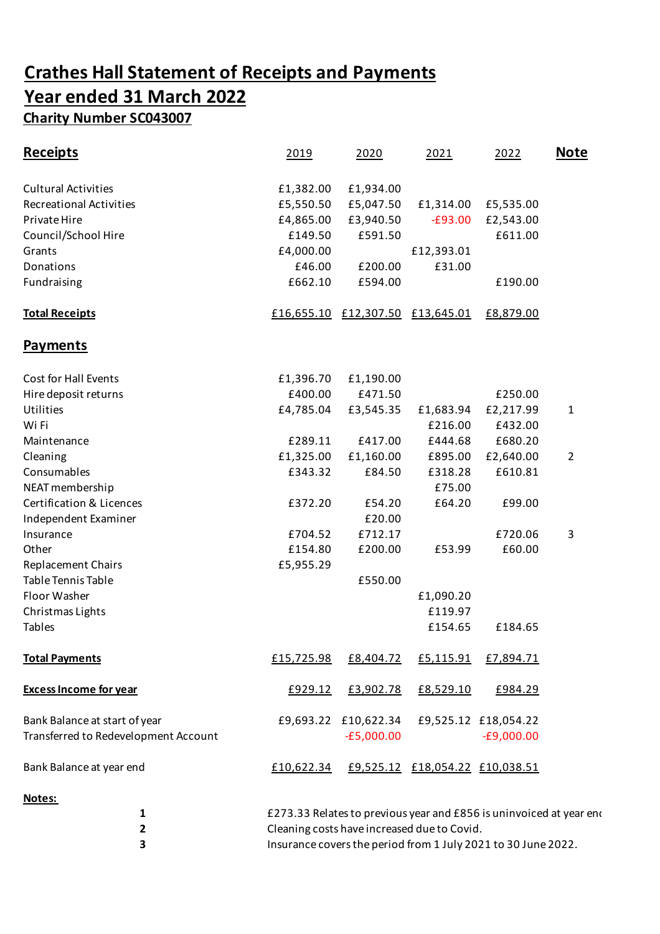## **Crathes Hall Statement of Receipts and Payments Year ended 31 March 2022 Charity Number SC043007**

| <b>Receipts</b>                      | 2019       | 2020                             | 2021                            | 2022                                                                | <u>Note</u>    |
|--------------------------------------|------------|----------------------------------|---------------------------------|---------------------------------------------------------------------|----------------|
| <b>Cultural Activities</b>           | £1,382.00  | £1,934.00                        |                                 |                                                                     |                |
| <b>Recreational Activities</b>       | £5,550.50  | £5,047.50                        | £1,314.00                       | £5,535.00                                                           |                |
| Private Hire                         | £4,865.00  | £3,940.50                        | $-£93.00$                       | £2,543.00                                                           |                |
| Council/School Hire                  | £149.50    | £591.50                          |                                 | £611.00                                                             |                |
| Grants                               | £4,000.00  |                                  | £12,393.01                      |                                                                     |                |
| Donations                            | £46.00     | £200.00                          | £31.00                          |                                                                     |                |
| Fundraising                          | £662.10    | £594.00                          |                                 | £190.00                                                             |                |
| <b>Total Receipts</b>                |            | £16,655.10 £12,307.50 £13,645.01 |                                 | £8,879.00                                                           |                |
| <b>Payments</b>                      |            |                                  |                                 |                                                                     |                |
| Cost for Hall Events                 | £1,396.70  | £1,190.00                        |                                 |                                                                     |                |
| Hire deposit returns                 | £400.00    | £471.50                          |                                 | £250.00                                                             |                |
| Utilities                            | £4,785.04  | £3,545.35                        | £1,683.94                       | £2,217.99                                                           | 1              |
| Wi Fi                                |            |                                  | £216.00                         | £432.00                                                             |                |
| Maintenance                          | £289.11    | £417.00                          | £444.68                         | £680.20                                                             |                |
| Cleaning                             | £1,325.00  | £1,160.00                        | £895.00                         | £2,640.00                                                           | $\overline{2}$ |
| Consumables                          | £343.32    | £84.50                           | £318.28                         | £610.81                                                             |                |
| NEAT membership                      |            |                                  | £75.00                          |                                                                     |                |
| <b>Certification &amp; Licences</b>  | £372.20    | £54.20                           | £64.20                          | £99.00                                                              |                |
| Independent Examiner                 |            | £20.00                           |                                 |                                                                     |                |
| Insurance                            | £704.52    | £712.17                          |                                 | £720.06                                                             | 3              |
| Other                                | £154.80    | £200.00                          | £53.99                          | £60.00                                                              |                |
| <b>Replacement Chairs</b>            | £5,955.29  |                                  |                                 |                                                                     |                |
| <b>Table Tennis Table</b>            |            | £550.00                          |                                 |                                                                     |                |
| Floor Washer                         |            |                                  | £1,090.20                       |                                                                     |                |
| Christmas Lights                     |            |                                  | £119.97                         |                                                                     |                |
| <b>Tables</b>                        |            |                                  | £154.65                         | £184.65                                                             |                |
| <b>Total Payments</b>                | £15,725.98 | £8,404.72                        | £5,115.91                       | £7,894.71                                                           |                |
| <b>Excess Income for year</b>        | £929.12    | £3,902.78                        | £8,529.10                       | £984.29                                                             |                |
| Bank Balance at start of year        |            | £9,693.22 £10,622.34             |                                 | £9,525.12 £18,054.22                                                |                |
| Transferred to Redevelopment Account |            | $-E5,000.00$                     |                                 | $-E9,000.00$                                                        |                |
| Bank Balance at year end             | £10,622.34 |                                  | £9,525.12 £18,054.22 £10,038.51 |                                                                     |                |
| Notes:                               |            |                                  |                                 |                                                                     |                |
| 1                                    |            |                                  |                                 | £273.33 Relates to previous year and £856 is uninvoiced at year eno |                |

**2** Cleaning costs have increased due to Covid. **3** Insurance covers the period from 1 July 2021 to 30 June 2022.